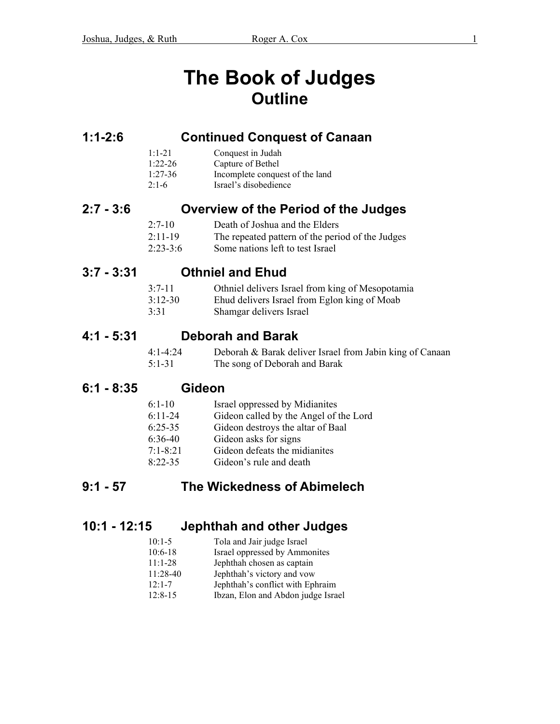# **The Book of Judges Outline**

### **1:1-2:6 Continued Conquest of Canaan**

| $1.1 - 21$ | Conquest in Judah               |
|------------|---------------------------------|
| $1:22-26$  | Capture of Bethel               |
| $1:27-36$  | Incomplete conquest of the land |
| $2:1-6$    | Israel's disobedience           |

## **2:7 - 3:6 Overview of the Period of the Judges**

| $2:7-10$ | Death of Joshua and the Elders |
|----------|--------------------------------|
|          |                                |

2:11-19 The repeated pattern of the period of the Judges

2:23-3:6 Some nations left to test Israel

## **3:7 - 3:31 Othniel and Ehud**

| $3.7 - 11$ | Othniel delivers Israel from king of Mesopotamia |
|------------|--------------------------------------------------|
| $3:12-30$  | Ehud delivers Israel from Eglon king of Moab     |
| 3:31       | Shamgar delivers Israel                          |

#### **4:1 - 5:31 Deborah and Barak**

 4:1-4:24 Deborah & Barak deliver Israel from Jabin king of Canaan 5:1-31 The song of Deborah and Barak

## **6:1 - 8:35 Gideon**

| $6:1-10$     | Israel oppressed by Midianites         |
|--------------|----------------------------------------|
| $6:11-24$    | Gideon called by the Angel of the Lord |
| $6:25-35$    | Gideon destroys the altar of Baal      |
| $6:36-40$    | Gideon asks for signs                  |
| $7:1 - 8:21$ | Gideon defeats the midianites          |
| $8.22 - 35$  | Gideon's rule and death                |

# **9:1 - 57 The Wickedness of Abimelech**

## **10:1 - 12:15 Jephthah and other Judges**

| $10:1-5$   | Tola and Jair judge Israel         |
|------------|------------------------------------|
| $10:6-18$  | Israel oppressed by Ammonites      |
| $11:1-28$  | Jephthah chosen as captain         |
| $11:28-40$ | Jephthah's victory and vow         |
| $12.1 - 7$ | Jephthah's conflict with Ephraim   |
| $12:8-15$  | Ibzan, Elon and Abdon judge Israel |